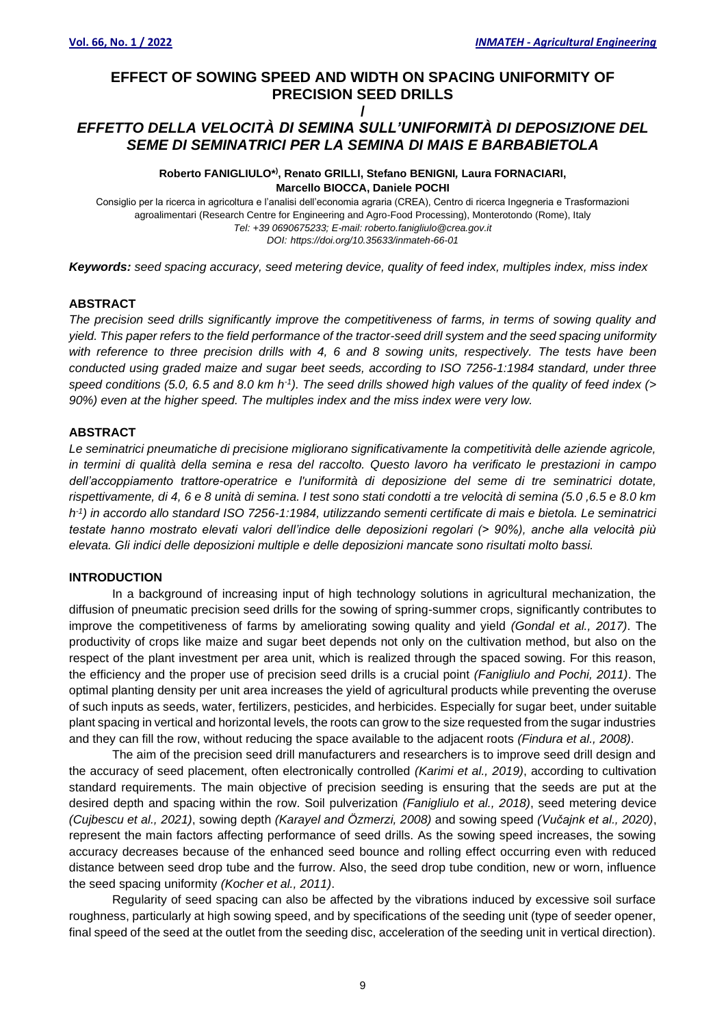# **EFFECT OF SOWING SPEED AND WIDTH ON SPACING UNIFORMITY OF PRECISION SEED DRILLS**

# **/** *EFFETTO DELLA VELOCITÀ DI SEMINA SULL'UNIFORMITÀ DI DEPOSIZIONE DEL SEME DI SEMINATRICI PER LA SEMINA DI MAIS E BARBABIETOLA*

**Roberto FANIGLIULO\* ) , Renato GRILLI, Stefano BENIGNI***,* **Laura FORNACIARI, Marcello BIOCCA, Daniele POCHI**

Consiglio per la ricerca in agricoltura e l'analisi dell'economia agraria (CREA), Centro di ricerca Ingegneria e Trasformazioni agroalimentari (Research Centre for Engineering and Agro-Food Processing), Monterotondo (Rome), Italy *Tel: +39 0690675233; E-mail: roberto.fanigliulo@crea.gov.it DOI: https://doi.org/10.35633/inmateh-66-01*

*Keywords: seed spacing accuracy, seed metering device, quality of feed index, multiples index, miss index*

## **ABSTRACT**

*The precision seed drills significantly improve the competitiveness of farms, in terms of sowing quality and yield. This paper refers to the field performance of the tractor-seed drill system and the seed spacing uniformity with reference to three precision drills with 4, 6 and 8 sowing units, respectively. The tests have been conducted using graded maize and sugar beet seeds, according to ISO 7256-1:1984 standard, under three speed conditions (5.0, 6.5 and 8.0 km h-1 ). The seed drills showed high values of the quality of feed index (> 90%) even at the higher speed. The multiples index and the miss index were very low.*

# **ABSTRACT**

*Le seminatrici pneumatiche di precisione migliorano significativamente la competitività delle aziende agricole, in termini di qualità della semina e resa del raccolto. Questo lavoro ha verificato le prestazioni in campo dell'accoppiamento trattore-operatrice e l'uniformità di deposizione del seme di tre seminatrici dotate, rispettivamente, di 4, 6 e 8 unità di semina. I test sono stati condotti a tre velocità di semina (5.0 ,6.5 e 8.0 km h -1 ) in accordo allo standard ISO 7256-1:1984, utilizzando sementi certificate di mais e bietola. Le seminatrici testate hanno mostrato elevati valori dell'indice delle deposizioni regolari (> 90%), anche alla velocità più elevata. Gli indici delle deposizioni multiple e delle deposizioni mancate sono risultati molto bassi.*

#### **INTRODUCTION**

In a background of increasing input of high technology solutions in agricultural mechanization, the diffusion of pneumatic precision seed drills for the sowing of spring-summer crops, significantly contributes to improve the competitiveness of farms by ameliorating sowing quality and yield *(Gondal et al., 2017)*. The productivity of crops like maize and sugar beet depends not only on the cultivation method, but also on the respect of the plant investment per area unit, which is realized through the spaced sowing. For this reason, the efficiency and the proper use of precision seed drills is a crucial point *(Fanigliulo and Pochi, 2011)*. The optimal planting density per unit area increases the yield of agricultural products while preventing the overuse of such inputs as seeds, water, fertilizers, pesticides, and herbicides. Especially for sugar beet, under suitable plant spacing in vertical and horizontal levels, the roots can grow to the size requested from the sugar industries and they can fill the row, without reducing the space available to the adjacent roots *(Findura et al., 2008)*.

The aim of the precision seed drill manufacturers and researchers is to improve seed drill design and the accuracy of seed placement, often electronically controlled *(Karimi et al., 2019)*, according to cultivation standard requirements. The main objective of precision seeding is ensuring that the seeds are put at the desired depth and spacing within the row. Soil pulverization *(Fanigliulo et al., 2018)*, seed metering device *(Cujbescu et al., 2021)*, sowing depth *(Karayel and Özmerzi, 2008)* and sowing speed *(Vučajnk et al., 2020)*, represent the main factors affecting performance of seed drills. As the sowing speed increases, the sowing accuracy decreases because of the enhanced seed bounce and rolling effect occurring even with reduced distance between seed drop tube and the furrow. Also, the seed drop tube condition, new or worn, influence the seed spacing uniformity *(Kocher et al., 2011)*.

Regularity of seed spacing can also be affected by the vibrations induced by excessive soil surface roughness, particularly at high sowing speed, and by specifications of the seeding unit (type of seeder opener, final speed of the seed at the outlet from the seeding disc, acceleration of the seeding unit in vertical direction).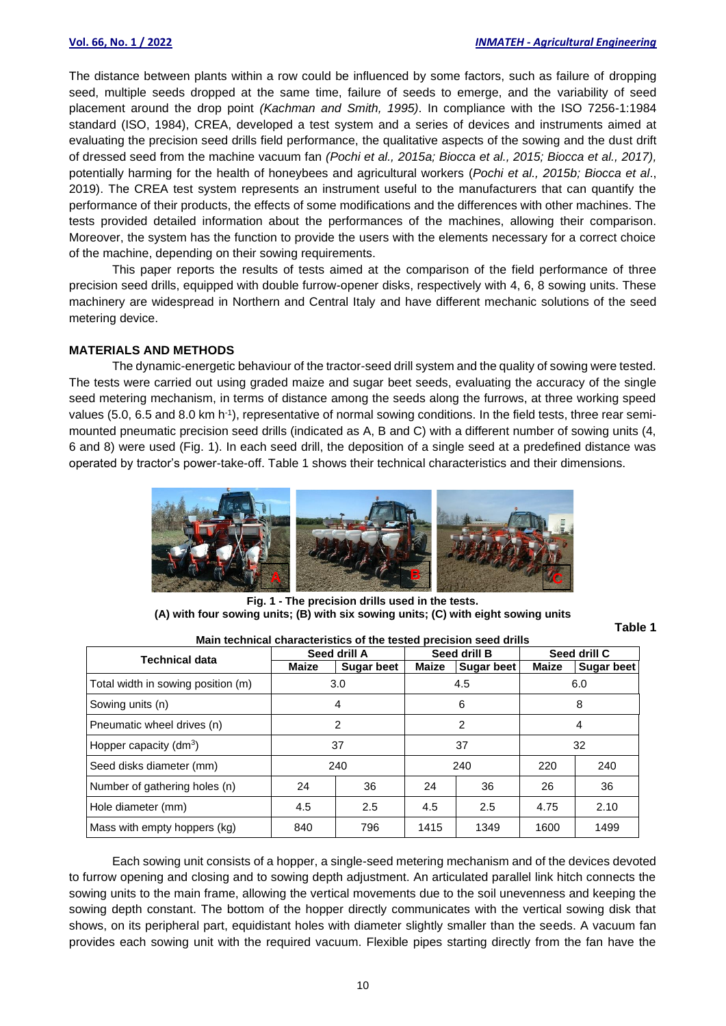The distance between plants within a row could be influenced by some factors, such as failure of dropping seed, multiple seeds dropped at the same time, failure of seeds to emerge, and the variability of seed placement around the drop point *(Kachman and Smith, 1995)*. In compliance with the ISO 7256-1:1984 standard (ISO, 1984), CREA, developed a test system and a series of devices and instruments aimed at evaluating the precision seed drills field performance, the qualitative aspects of the sowing and the dust drift of dressed seed from the machine vacuum fan *(Pochi et al., 2015a; Biocca et al., 2015; Biocca et al., 2017),*  potentially harming for the health of honeybees and agricultural workers (*Pochi et al., 2015b; Biocca et al*., 2019). The CREA test system represents an instrument useful to the manufacturers that can quantify the performance of their products, the effects of some modifications and the differences with other machines. The tests provided detailed information about the performances of the machines, allowing their comparison. Moreover, the system has the function to provide the users with the elements necessary for a correct choice of the machine, depending on their sowing requirements.

This paper reports the results of tests aimed at the comparison of the field performance of three precision seed drills, equipped with double furrow-opener disks, respectively with 4, 6, 8 sowing units. These machinery are widespread in Northern and Central Italy and have different mechanic solutions of the seed metering device.

#### **MATERIALS AND METHODS**

The dynamic-energetic behaviour of the tractor-seed drill system and the quality of sowing were tested. The tests were carried out using graded maize and sugar beet seeds, evaluating the accuracy of the single seed metering mechanism, in terms of distance among the seeds along the furrows, at three working speed values (5.0, 6.5 and 8.0 km h<sup>-1</sup>), representative of normal sowing conditions. In the field tests, three rear semimounted pneumatic precision seed drills (indicated as A, B and C) with a different number of sowing units (4, 6 and 8) were used (Fig. 1). In each seed drill, the deposition of a single seed at a predefined distance was operated by tractor's power-take-off. Table 1 shows their technical characteristics and their dimensions.



**Fig. 1 - The precision drills used in the tests. (A) with four sowing units; (B) with six sowing units; (C) with eight sowing units**

**Main technical characteristics of the tested precision seed drills**

**Table 1**

| <b>Technical data</b>              |              | Seed drill A      |       | Seed drill B |              | Seed drill C      |  |
|------------------------------------|--------------|-------------------|-------|--------------|--------------|-------------------|--|
|                                    | <b>Maize</b> | <b>Sugar beet</b> | Maize | Sugar beet   | <b>Maize</b> | <b>Sugar beet</b> |  |
| Total width in sowing position (m) |              | 3.0               |       | 4.5          | 6.0          |                   |  |
| Sowing units (n)                   |              | 4                 |       | 6            | 8            |                   |  |
| Pneumatic wheel drives (n)         |              | 2                 |       | 2            | 4            |                   |  |
| Hopper capacity $(dm3)$            |              | 37                |       | 37           | 32           |                   |  |
| Seed disks diameter (mm)           |              | 240               |       | 240          | 220          | 240               |  |
| Number of gathering holes (n)      | 24           | 36                | 24    | 36           | 26           | 36                |  |
| Hole diameter (mm)                 | 4.5          | 2.5               | 4.5   | 2.5          | 4.75         | 2.10              |  |
| Mass with empty hoppers (kg)       | 840          | 796               | 1415  | 1349         | 1600         | 1499              |  |

Each sowing unit consists of a hopper, a single-seed metering mechanism and of the devices devoted to furrow opening and closing and to sowing depth adjustment. An articulated parallel link hitch connects the sowing units to the main frame, allowing the vertical movements due to the soil unevenness and keeping the sowing depth constant. The bottom of the hopper directly communicates with the vertical sowing disk that shows, on its peripheral part, equidistant holes with diameter slightly smaller than the seeds. A vacuum fan provides each sowing unit with the required vacuum. Flexible pipes starting directly from the fan have the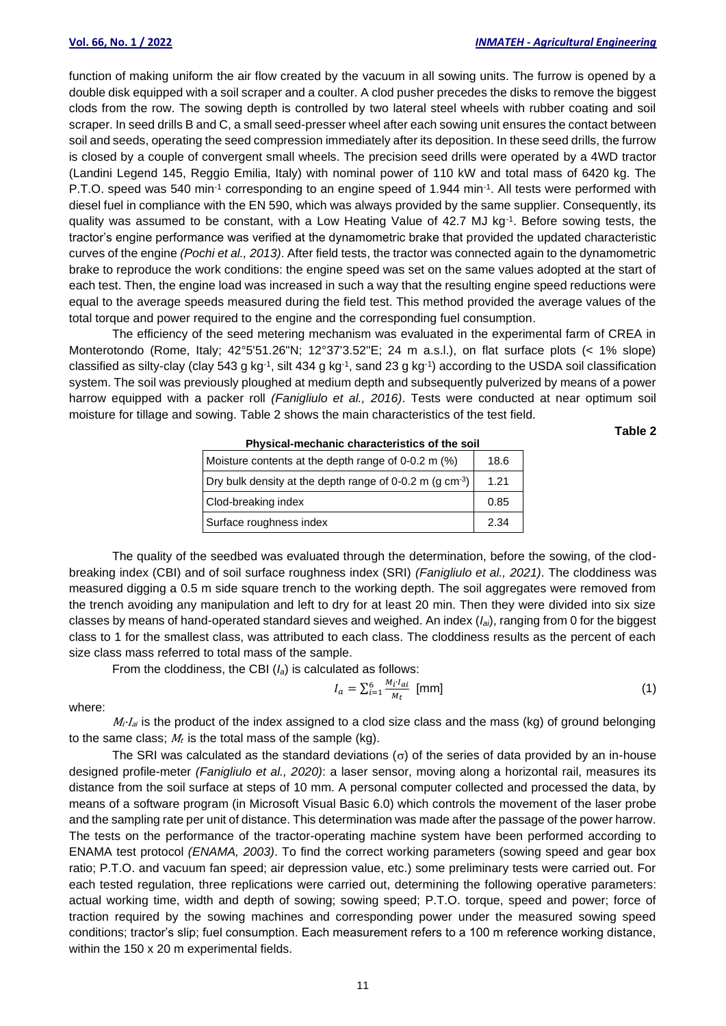function of making uniform the air flow created by the vacuum in all sowing units. The furrow is opened by a double disk equipped with a soil scraper and a coulter. A clod pusher precedes the disks to remove the biggest clods from the row. The sowing depth is controlled by two lateral steel wheels with rubber coating and soil scraper. In seed drills B and C, a small seed-presser wheel after each sowing unit ensures the contact between soil and seeds, operating the seed compression immediately after its deposition. In these seed drills, the furrow is closed by a couple of convergent small wheels. The precision seed drills were operated by a 4WD tractor (Landini Legend 145, Reggio Emilia, Italy) with nominal power of 110 kW and total mass of 6420 kg. The P.T.O. speed was 540 min<sup>-1</sup> corresponding to an engine speed of 1.944 min<sup>-1</sup>. All tests were performed with diesel fuel in compliance with the EN 590, which was always provided by the same supplier. Consequently, its quality was assumed to be constant, with a Low Heating Value of 42.7 MJ kg<sup>-1</sup>. Before sowing tests, the tractor's engine performance was verified at the dynamometric brake that provided the updated characteristic curves of the engine *(Pochi et al., 2013)*. After field tests, the tractor was connected again to the dynamometric brake to reproduce the work conditions: the engine speed was set on the same values adopted at the start of each test. Then, the engine load was increased in such a way that the resulting engine speed reductions were equal to the average speeds measured during the field test. This method provided the average values of the total torque and power required to the engine and the corresponding fuel consumption.

The efficiency of the seed metering mechanism was evaluated in the experimental farm of CREA in Monterotondo (Rome, Italy; 42°5'51.26"N; 12°37'3.52"E; 24 m a.s.l.), on flat surface plots (< 1% slope) classified as silty-clay (clay 543 g kg<sup>-1</sup>, silt 434 g kg<sup>-1</sup>, sand 23 g kg<sup>-1</sup>) according to the USDA soil classification system. The soil was previously ploughed at medium depth and subsequently pulverized by means of a power harrow equipped with a packer roll *(Fanigliulo et al., 2016)*. Tests were conducted at near optimum soil moisture for tillage and sowing. Table 2 shows the main characteristics of the test field.

**Table 2**

| Physical-inechanic characteristics of the soil                |      |
|---------------------------------------------------------------|------|
| Moisture contents at the depth range of 0-0.2 m (%)           | 18.6 |
| Dry bulk density at the depth range of 0-0.2 m (g $cm^{-3}$ ) | 1.21 |
| Clod-breaking index                                           | 0.85 |
| Surface roughness index                                       | 2.34 |

**Physical-mechanic characteristics of the soil**

The quality of the seedbed was evaluated through the determination, before the sowing, of the clodbreaking index (CBI) and of soil surface roughness index (SRI) *(Fanigliulo et al., 2021)*. The cloddiness was measured digging a 0.5 m side square trench to the working depth. The soil aggregates were removed from the trench avoiding any manipulation and left to dry for at least 20 min. Then they were divided into six size classes by means of hand-operated standard sieves and weighed. An index (*Iai*), ranging from 0 for the biggest class to 1 for the smallest class, was attributed to each class. The cloddiness results as the percent of each size class mass referred to total mass of the sample.

From the cloddiness, the CBI (*Ia*) is calculated as follows:

$$
I_a = \sum_{i=1}^{6} \frac{M_i I_{ai}}{M_t} \text{ [mm]}
$$
 (1)

where:

 $M_i$ · $I_{ai}$  is the product of the index assigned to a clod size class and the mass (kg) of ground belonging to the same class;  $M_t$  is the total mass of the sample (kg).

The SRI was calculated as the standard deviations ( $\sigma$ ) of the series of data provided by an in-house designed profile-meter *(Fanigliulo et al., 2020)*: a laser sensor, moving along a horizontal rail, measures its distance from the soil surface at steps of 10 mm. A personal computer collected and processed the data, by means of a software program (in Microsoft Visual Basic 6.0) which controls the movement of the laser probe and the sampling rate per unit of distance. This determination was made after the passage of the power harrow. The tests on the performance of the tractor-operating machine system have been performed according to ENAMA test protocol *(ENAMA, 2003)*. To find the correct working parameters (sowing speed and gear box ratio; P.T.O. and vacuum fan speed; air depression value, etc.) some preliminary tests were carried out. For each tested regulation, three replications were carried out, determining the following operative parameters: actual working time, width and depth of sowing; sowing speed; P.T.O. torque, speed and power; force of traction required by the sowing machines and corresponding power under the measured sowing speed conditions; tractor's slip; fuel consumption. Each measurement refers to a 100 m reference working distance, within the 150 x 20 m experimental fields.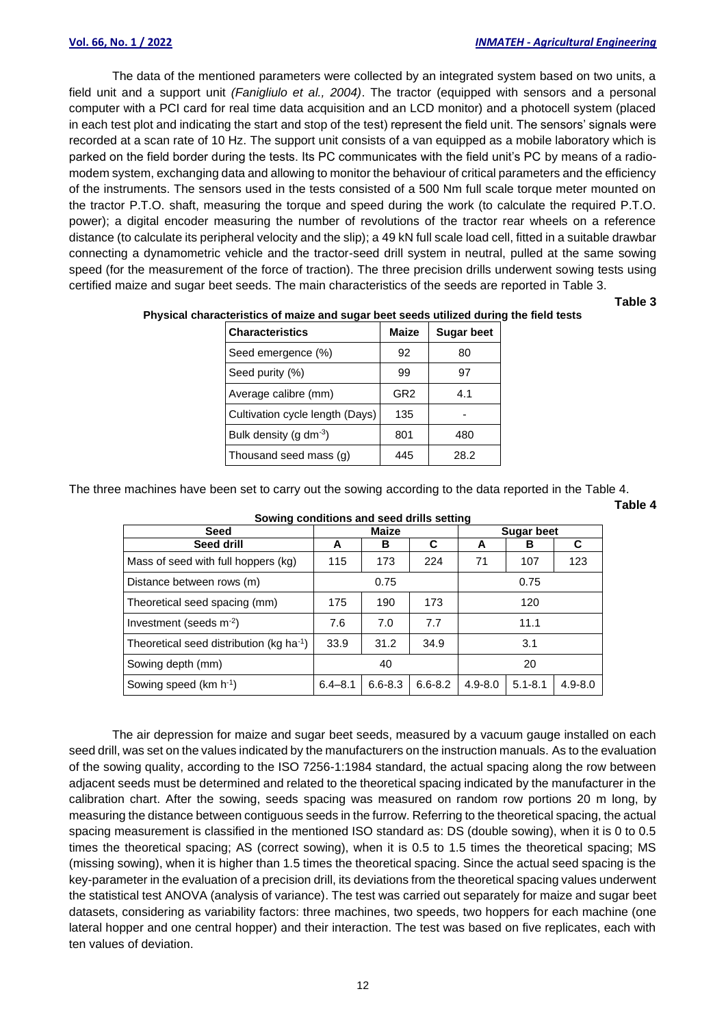The data of the mentioned parameters were collected by an integrated system based on two units, a field unit and a support unit *(Fanigliulo et al., 2004)*. The tractor (equipped with sensors and a personal computer with a PCI card for real time data acquisition and an LCD monitor) and a photocell system (placed in each test plot and indicating the start and stop of the test) represent the field unit. The sensors' signals were recorded at a scan rate of 10 Hz. The support unit consists of a van equipped as a mobile laboratory which is parked on the field border during the tests. Its PC communicates with the field unit's PC by means of a radiomodem system, exchanging data and allowing to monitor the behaviour of critical parameters and the efficiency of the instruments. The sensors used in the tests consisted of a 500 Nm full scale torque meter mounted on the tractor P.T.O. shaft, measuring the torque and speed during the work (to calculate the required P.T.O. power); a digital encoder measuring the number of revolutions of the tractor rear wheels on a reference distance (to calculate its peripheral velocity and the slip); a 49 kN full scale load cell, fitted in a suitable drawbar connecting a dynamometric vehicle and the tractor-seed drill system in neutral, pulled at the same sowing speed (for the measurement of the force of traction). The three precision drills underwent sowing tests using certified maize and sugar beet seeds. The main characteristics of the seeds are reported in Table 3.

**Table 3**

| <b>Characteristics</b>          | <b>Maize</b>    | <b>Sugar beet</b> |
|---------------------------------|-----------------|-------------------|
| Seed emergence (%)              | 92              | 80                |
| Seed purity (%)                 | 99              | 97                |
| Average calibre (mm)            | GR <sub>2</sub> | 4.1               |
| Cultivation cycle length (Days) | 135             |                   |
| Bulk density (g $dm^{-3}$ )     | 801             | 480               |
| Thousand seed mass (g)          | 445             | 28.2              |

**Physical characteristics of maize and sugar beet seeds utilized during the field tests**

The three machines have been set to carry out the sowing according to the data reported in the Table 4. **Table 4**

| <u>ooming oonannono ana oooa anno ooming</u>         |             |              |             |             |                   |             |  |  |
|------------------------------------------------------|-------------|--------------|-------------|-------------|-------------------|-------------|--|--|
| <b>Seed</b>                                          |             | <b>Maize</b> |             |             | <b>Sugar beet</b> |             |  |  |
| Seed drill                                           | А           | в            | C           | A           | в                 | С           |  |  |
| Mass of seed with full hoppers (kg)                  | 115         | 173          | 224         | 71          | 107               | 123         |  |  |
| Distance between rows (m)                            |             | 0.75         |             |             | 0.75              |             |  |  |
| Theoretical seed spacing (mm)                        | 175         | 190          | 173         |             | 120               |             |  |  |
| Investment (seeds $m^{-2}$ )                         | 7.6         | 7.0          | 7.7         |             | 11.1              |             |  |  |
| Theoretical seed distribution (kg ha <sup>-1</sup> ) | 33.9        | 31.2         | 34.9        |             | 3.1               |             |  |  |
| Sowing depth (mm)                                    |             | 40           |             |             | 20                |             |  |  |
| Sowing speed (km h <sup>-1</sup> )                   | $6.4 - 8.1$ | $6.6 - 8.3$  | $6.6 - 8.2$ | $4.9 - 8.0$ | $5.1 - 8.1$       | $4.9 - 8.0$ |  |  |

**Sowing conditions and seed drills setting**

The air depression for maize and sugar beet seeds, measured by a vacuum gauge installed on each seed drill, was set on the values indicated by the manufacturers on the instruction manuals. As to the evaluation of the sowing quality, according to the ISO 7256-1:1984 standard, the actual spacing along the row between adjacent seeds must be determined and related to the theoretical spacing indicated by the manufacturer in the calibration chart. After the sowing, seeds spacing was measured on random row portions 20 m long, by measuring the distance between contiguous seeds in the furrow. Referring to the theoretical spacing, the actual spacing measurement is classified in the mentioned ISO standard as: DS (double sowing), when it is 0 to 0.5 times the theoretical spacing; AS (correct sowing), when it is 0.5 to 1.5 times the theoretical spacing; MS (missing sowing), when it is higher than 1.5 times the theoretical spacing. Since the actual seed spacing is the key-parameter in the evaluation of a precision drill, its deviations from the theoretical spacing values underwent the statistical test ANOVA (analysis of variance). The test was carried out separately for maize and sugar beet datasets, considering as variability factors: three machines, two speeds, two hoppers for each machine (one lateral hopper and one central hopper) and their interaction. The test was based on five replicates, each with ten values of deviation.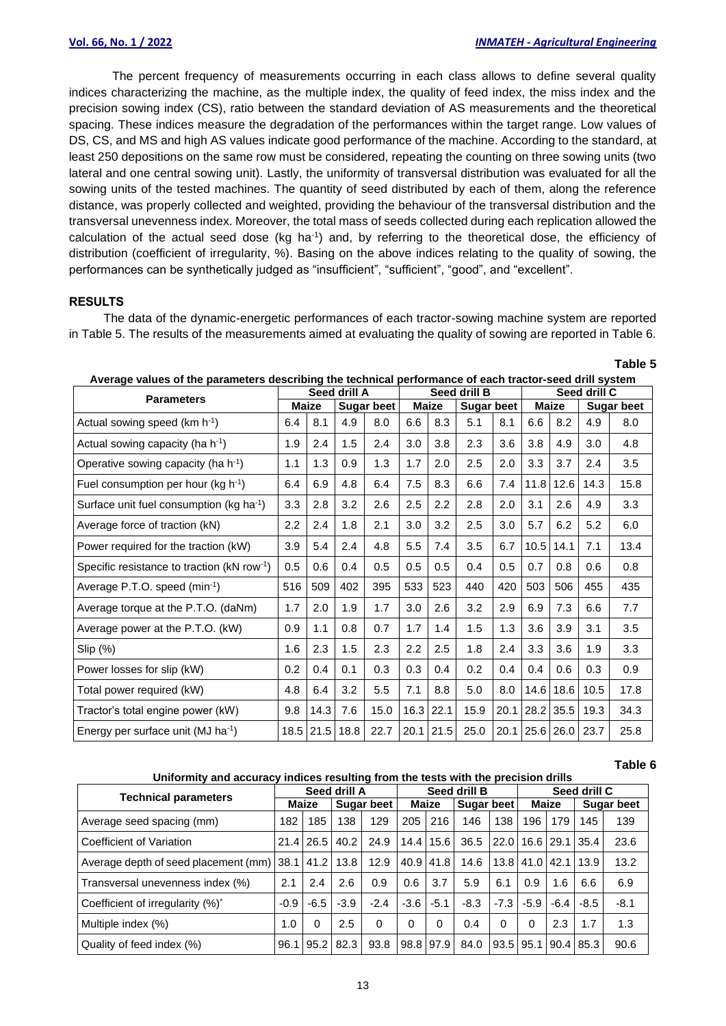**Table 5**

**Table 6**

The percent frequency of measurements occurring in each class allows to define several quality indices characterizing the machine, as the multiple index, the quality of feed index, the miss index and the precision sowing index (CS), ratio between the standard deviation of AS measurements and the theoretical spacing. These indices measure the degradation of the performances within the target range. Low values of DS, CS, and MS and high AS values indicate good performance of the machine. According to the standard, at least 250 depositions on the same row must be considered, repeating the counting on three sowing units (two lateral and one central sowing unit). Lastly, the uniformity of transversal distribution was evaluated for all the sowing units of the tested machines. The quantity of seed distributed by each of them, along the reference distance, was properly collected and weighted, providing the behaviour of the transversal distribution and the transversal unevenness index. Moreover, the total mass of seeds collected during each replication allowed the calculation of the actual seed dose (kg ha-1 ) and, by referring to the theoretical dose, the efficiency of distribution (coefficient of irregularity, %). Basing on the above indices relating to the quality of sowing, the performances can be synthetically judged as "insufficient", "sufficient", "good", and "excellent".

## **RESULTS**

The data of the dynamic-energetic performances of each tractor-sowing machine system are reported in Table 5. The results of the measurements aimed at evaluating the quality of sowing are reported in Table 6.

|                                                             | Average values of the parameters describing the technical performance of each tractor-seed drill system |              |              |                   |      |              |                   |      |              |                |      |                   |
|-------------------------------------------------------------|---------------------------------------------------------------------------------------------------------|--------------|--------------|-------------------|------|--------------|-------------------|------|--------------|----------------|------|-------------------|
| <b>Parameters</b>                                           |                                                                                                         |              | Seed drill A |                   |      |              | Seed drill B      |      | Seed drill C |                |      |                   |
|                                                             |                                                                                                         | <b>Maize</b> |              | <b>Sugar beet</b> |      | <b>Maize</b> | <b>Sugar beet</b> |      |              | <b>Maize</b>   |      | <b>Sugar beet</b> |
| Actual sowing speed (km h <sup>-1</sup> )                   | 6.4                                                                                                     | 8.1          | 4.9          | 8.0               | 6.6  | 8.3          | 5.1               | 8.1  | 6.6          | 8.2            | 4.9  | 8.0               |
| Actual sowing capacity (ha h <sup>-1</sup> )                | 1.9                                                                                                     | 2.4          | 1.5          | 2.4               | 3.0  | 3.8          | 2.3               | 3.6  | 3.8          | 4.9            | 3.0  | 4.8               |
| Operative sowing capacity (ha $h^{-1}$ )                    | 1.1                                                                                                     | 1.3          | 0.9          | 1.3               | 1.7  | 2.0          | 2.5               | 2.0  | 3.3          | 3.7            | 2.4  | 3.5               |
| Fuel consumption per hour (kg $h^{-1}$ )                    | 6.4                                                                                                     | 6.9          | 4.8          | 6.4               | 7.5  | 8.3          | 6.6               | 7.4  | 11.8         | 12.6           | 14.3 | 15.8              |
| Surface unit fuel consumption (kg ha <sup>-1</sup> )        | 3.3                                                                                                     | 2.8          | 3.2          | 2.6               | 2.5  | 2.2          | 2.8               | 2.0  | 3.1          | 2.6            | 4.9  | 3.3               |
| Average force of traction (kN)                              | 2.2                                                                                                     | 2.4          | 1.8          | 2.1               | 3.0  | 3.2          | 2.5               | 3.0  | 5.7          | 6.2            | 5.2  | 6.0               |
| Power required for the traction (kW)                        | 3.9                                                                                                     | 5.4          | 2.4          | 4.8               | 5.5  | 7.4          | 3.5               | 6.7  | 10.5         | 14.1           | 7.1  | 13.4              |
| Specific resistance to traction ( $k$ N row <sup>-1</sup> ) |                                                                                                         | 0.6          | 0.4          | 0.5               | 0.5  | 0.5          | 0.4               | 0.5  | 0.7          | 0.8            | 0.6  | 0.8               |
| Average P.T.O. speed (min-1)                                | 516                                                                                                     | 509          | 402          | 395               | 533  | 523          | 440               | 420  | 503          | 506            | 455  | 435               |
| Average torque at the P.T.O. (daNm)                         | 1.7                                                                                                     | 2.0          | 1.9          | 1.7               | 3.0  | 2.6          | 3.2               | 2.9  | 6.9          | 7.3            | 6.6  | 7.7               |
| Average power at the P.T.O. (kW)                            | 0.9                                                                                                     | 1.1          | 0.8          | 0.7               | 1.7  | 1.4          | 1.5               | 1.3  | 3.6          | 3.9            | 3.1  | 3.5               |
| Slip (%)                                                    | 1.6                                                                                                     | 2.3          | 1.5          | 2.3               | 2.2  | 2.5          | 1.8               | 2.4  | 3.3          | 3.6            | 1.9  | 3.3               |
| Power losses for slip (kW)                                  | 0.2                                                                                                     | 0.4          | 0.1          | 0.3               | 0.3  | 0.4          | 0.2               | 0.4  | 0.4          | 0.6            | 0.3  | 0.9               |
| Total power required (kW)                                   | 4.8                                                                                                     | 6.4          | 3.2          | 5.5               | 7.1  | 8.8          | 5.0               | 8.0  | 14.6         | 18.6           | 10.5 | 17.8              |
| Tractor's total engine power (kW)                           | 9.8                                                                                                     | 14.3         | 7.6          | 15.0              | 16.3 | 22.1         | 15.9              | 20.1 |              | 28.2 35.5      | 19.3 | 34.3              |
| Energy per surface unit (MJ ha $^{-1}$ )                    | 18.5                                                                                                    |              | $21.5$ 18.8  | 22.7              |      | $20.1$ 21.5  | 25.0              |      |              | 20.1 25.6 26.0 | 23.7 | 25.8              |

**Average values of the parameters describing the technical performance of each tractor-seed drill system**

#### **Uniformity and accuracy indices resulting from the tests with the precision drills**

|                                                | $1.1$ and $1.9$ and $1.1$ and $1.1$ and $1.0$ and $1.0$ and $1.1$ and $1.0$ and $1.0$ and $1.0$ and $1.0$ and $1.0$ and $1.0$ and $1.0$ and $1.0$ and $1.0$ and $1.0$ and $1.0$ and $1.0$ and $1.0$ and $1.0$ and $1.0$ and |              |            |          |        |              |        |            |        |                             |                     |                   |  |
|------------------------------------------------|-----------------------------------------------------------------------------------------------------------------------------------------------------------------------------------------------------------------------------|--------------|------------|----------|--------|--------------|--------|------------|--------|-----------------------------|---------------------|-------------------|--|
|                                                |                                                                                                                                                                                                                             | Seed drill A |            |          |        | Seed drill B |        |            |        | Seed drill C                |                     |                   |  |
| <b>Technical parameters</b>                    | Maize                                                                                                                                                                                                                       |              | Sugar beet |          |        | Maize        |        | Sugar beet |        | <b>Maize</b>                |                     | <b>Sugar beet</b> |  |
| Average seed spacing (mm)                      | 182                                                                                                                                                                                                                         | 185          | 138        | 129      | 205    | 216          | 146    | 138        | 196    | 179                         | 145                 | 139               |  |
| Coefficient of Variation                       |                                                                                                                                                                                                                             | 21.4 26.5    | 40.2       | 24.9     |        | 14.4   15.6  | 36.5   | 22.0       |        | 16.6 29.1 35.4              |                     | 23.6              |  |
| Average depth of seed placement (mm) 38.1 41.2 |                                                                                                                                                                                                                             |              | 13.8       | 12.9     |        | 40.9 41.8    | 14.6   |            |        |                             | 13.8 41.0 42.1 13.9 | 13.2              |  |
| Transversal unevenness index (%)               | 2.1                                                                                                                                                                                                                         | 2.4          | 2.6        | 0.9      | 0.6    | 3.7          | 5.9    | 6.1        | 0.9    | 1.6                         | 6.6                 | 6.9               |  |
| Coefficient of irregularity (%)*               | $-0.9$                                                                                                                                                                                                                      | $-6.5$       | $-3.9$     | $-2.4$   | $-3.6$ | $-5.1$       | $-8.3$ | $-7.3$     | $-5.9$ | $-6.4$                      | $-8.5$              | $-8.1$            |  |
| Multiple index (%)                             | 1.0                                                                                                                                                                                                                         | 0            | 2.5        | $\Omega$ | 0      | 0            | 0.4    | $\Omega$   | 0      | 2.3                         | 1.7                 | 1.3               |  |
| Quality of feed index (%)                      | 96.1                                                                                                                                                                                                                        | 95.2         | 82.3       | 93.8     |        | 98.8 97.9    | 84.0   |            |        | $93.5$   95.1   90.4   85.3 |                     | 90.6              |  |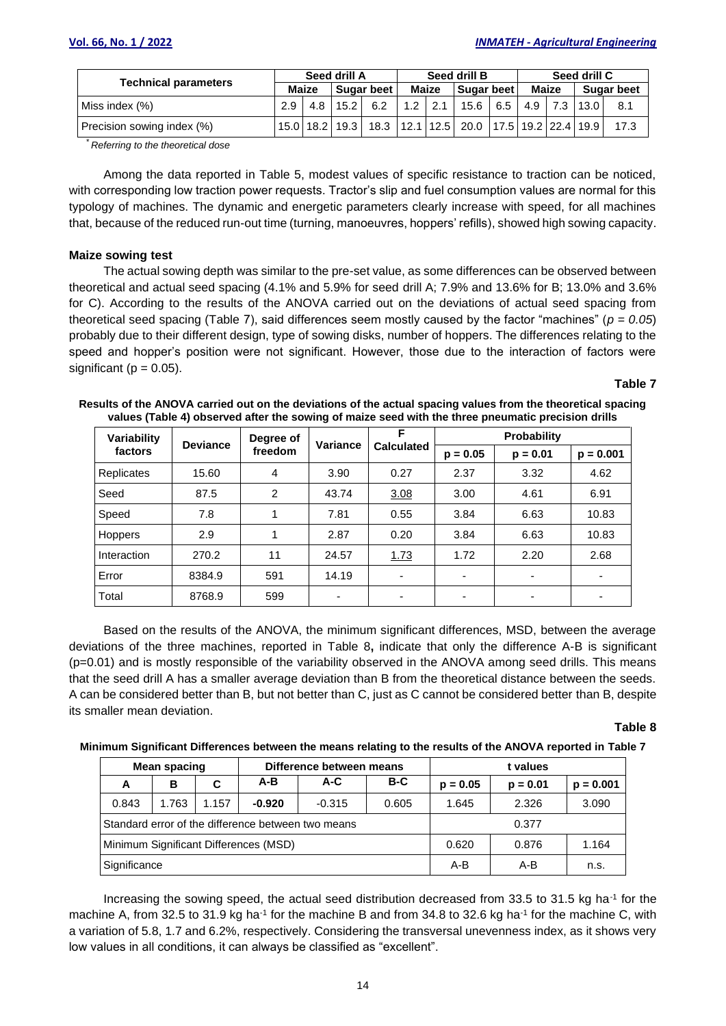| <b>Technical parameters</b> | Seed drill A |       |                    |            | Seed drill B |             |                                                       |            | Seed drill C |       |          |                   |  |
|-----------------------------|--------------|-------|--------------------|------------|--------------|-------------|-------------------------------------------------------|------------|--------------|-------|----------|-------------------|--|
|                             |              | Maize |                    | Sugar beet |              | Maize       |                                                       | Sugar beet |              | Maize |          | <b>Sugar beet</b> |  |
| Miss index (%)              | 2.9          | 4.8   | 15.2               | 6.2        |              | $1.2$   2.1 | 15.6                                                  |            | $6.5$ 4.9    |       | 7.3 13.0 | 8.1               |  |
| Precision sowing index (%)  |              |       | 15.0   18.2   19.3 |            |              |             | 18.3   12.1   12.5   20.0   17.5   19.2   22.4   19.9 |            |              |       |          | 17.3              |  |

\* *Referring to the theoretical dose*

Among the data reported in Table 5, modest values of specific resistance to traction can be noticed, with corresponding low traction power requests. Tractor's slip and fuel consumption values are normal for this typology of machines. The dynamic and energetic parameters clearly increase with speed, for all machines that, because of the reduced run-out time (turning, manoeuvres, hoppers' refills), showed high sowing capacity.

### **Maize sowing test**

The actual sowing depth was similar to the pre-set value, as some differences can be observed between theoretical and actual seed spacing (4.1% and 5.9% for seed drill A; 7.9% and 13.6% for B; 13.0% and 3.6% for C). According to the results of the ANOVA carried out on the deviations of actual seed spacing from theoretical seed spacing (Table 7), said differences seem mostly caused by the factor "machines" (*p = 0.05*) probably due to their different design, type of sowing disks, number of hoppers. The differences relating to the speed and hopper's position were not significant. However, those due to the interaction of factors were significant ( $p = 0.05$ ).

# **Table 7**

| Variability | <b>Deviance</b> | Degree of<br>freedom | Variance | F                        | Probability              |                          |             |  |  |
|-------------|-----------------|----------------------|----------|--------------------------|--------------------------|--------------------------|-------------|--|--|
| factors     |                 |                      |          | <b>Calculated</b>        | $p = 0.05$               | $p = 0.01$               | $p = 0.001$ |  |  |
| Replicates  | 15.60           | 4                    | 3.90     | 0.27                     | 2.37                     | 3.32                     | 4.62        |  |  |
| Seed        | 87.5            | 2                    | 43.74    | 3.08                     | 3.00                     | 4.61                     | 6.91        |  |  |
| Speed       | 7.8             |                      | 7.81     | 0.55                     | 3.84                     | 6.63                     | 10.83       |  |  |
| Hoppers     | 2.9             |                      | 2.87     | 0.20                     | 3.84                     | 6.63                     | 10.83       |  |  |
| Interaction | 270.2           | 11                   | 24.57    | 1.73                     | 1.72                     | 2.20                     | 2.68        |  |  |
| Error       | 8384.9          | 591                  | 14.19    | $\overline{\phantom{0}}$ | $\overline{\phantom{0}}$ | $\overline{\phantom{0}}$ | ٠           |  |  |
| Total       | 8768.9          | 599                  |          | $\overline{\phantom{0}}$ | ٠                        | -                        |             |  |  |

**Results of the ANOVA carried out on the deviations of the actual spacing values from the theoretical spacing values (Table 4) observed after the sowing of maize seed with the three pneumatic precision drills**

Based on the results of the ANOVA, the minimum significant differences, MSD, between the average deviations of the three machines, reported in Table 8**,** indicate that only the difference A-B is significant (p=0.01) and is mostly responsible of the variability observed in the ANOVA among seed drills. This means that the seed drill A has a smaller average deviation than B from the theoretical distance between the seeds. A can be considered better than B, but not better than C, just as C cannot be considered better than B, despite its smaller mean deviation.

### **Table 8**

#### **Minimum Significant Differences between the means relating to the results of the ANOVA reported in Table 7**

|                                       | Mean spacing |       |          | Difference between means                           |       | t values   |             |       |  |  |
|---------------------------------------|--------------|-------|----------|----------------------------------------------------|-------|------------|-------------|-------|--|--|
| A                                     | в            |       | A-B      | A-C                                                | B-C   | $p = 0.05$ | $p = 0.001$ |       |  |  |
| 0.843                                 | 1.763        | 1.157 | $-0.920$ | $-0.315$                                           | 0.605 | 1.645      | 2.326       | 3.090 |  |  |
|                                       |              |       |          | Standard error of the difference between two means |       |            | 0.377       |       |  |  |
| Minimum Significant Differences (MSD) |              |       | 0.620    | 0.876                                              | 1.164 |            |             |       |  |  |
| Significance                          |              |       |          | A-B                                                | A-B   | n.s.       |             |       |  |  |

Increasing the sowing speed, the actual seed distribution decreased from 33.5 to 31.5 kg ha<sup>-1</sup> for the machine A, from 32.5 to 31.9 kg ha<sup>-1</sup> for the machine B and from 34.8 to 32.6 kg ha<sup>-1</sup> for the machine C, with a variation of 5.8, 1.7 and 6.2%, respectively. Considering the transversal unevenness index, as it shows very low values in all conditions, it can always be classified as "excellent".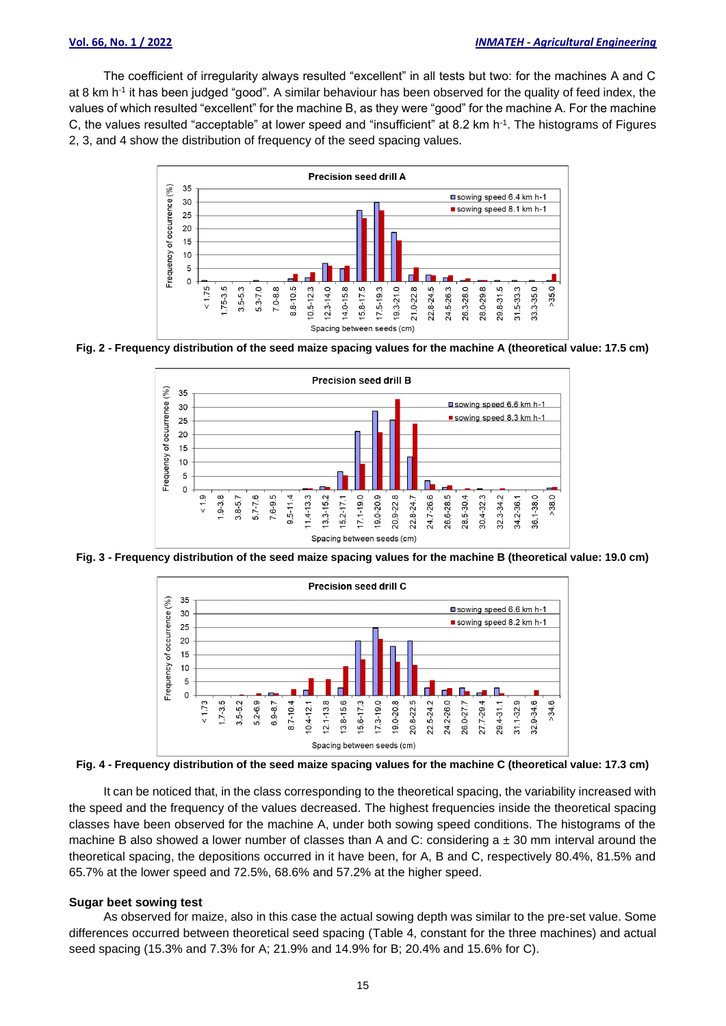The coefficient of irregularity always resulted "excellent" in all tests but two: for the machines A and C at 8 km h -1 it has been judged "good"*.* A similar behaviour has been observed for the quality of feed index, the values of which resulted "excellent" for the machine B, as they were "good" for the machine A. For the machine C, the values resulted "acceptable" at lower speed and "insufficient" at 8.2 km h-1 . The histograms of Figures 2, 3, and 4 show the distribution of frequency of the seed spacing values.



**Fig. 2 - Frequency distribution of the seed maize spacing values for the machine A (theoretical value: 17.5 cm)**



**Fig. 3 - Frequency distribution of the seed maize spacing values for the machine B (theoretical value: 19.0 cm)**



**Fig. 4 - Frequency distribution of the seed maize spacing values for the machine C (theoretical value: 17.3 cm)**

It can be noticed that, in the class corresponding to the theoretical spacing, the variability increased with the speed and the frequency of the values decreased. The highest frequencies inside the theoretical spacing classes have been observed for the machine A, under both sowing speed conditions. The histograms of the machine B also showed a lower number of classes than A and C: considering  $a \pm 30$  mm interval around the theoretical spacing, the depositions occurred in it have been, for A, B and C, respectively 80.4%, 81.5% and 65.7% at the lower speed and 72.5%, 68.6% and 57.2% at the higher speed.

#### **Sugar beet sowing test**

As observed for maize, also in this case the actual sowing depth was similar to the pre-set value. Some differences occurred between theoretical seed spacing (Table 4, constant for the three machines) and actual seed spacing (15.3% and 7.3% for A; 21.9% and 14.9% for B; 20.4% and 15.6% for C).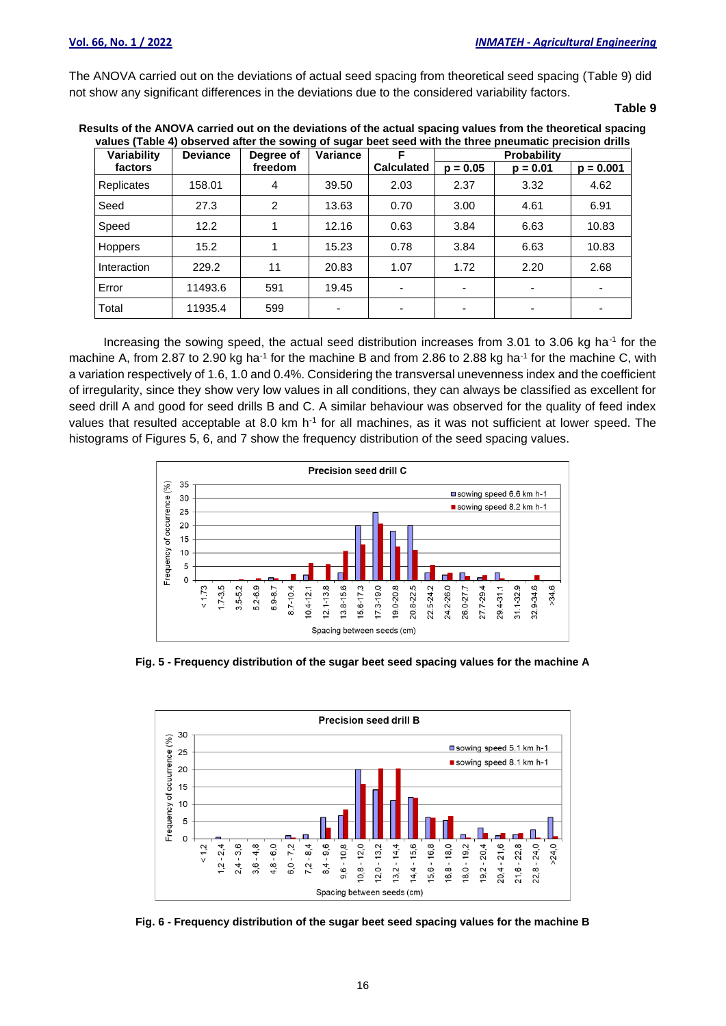The ANOVA carried out on the deviations of actual seed spacing from theoretical seed spacing (Table 9) did not show any significant differences in the deviations due to the considered variability factors.

**Table 9**

| Results of the ANOVA carried out on the deviations of the actual spacing values from the theoretical spacing |  |  |  |  |
|--------------------------------------------------------------------------------------------------------------|--|--|--|--|
| values (Table 4) observed after the sowing of sugar beet seed with the three pneumatic precision drills      |  |  |  |  |
|                                                                                                              |  |  |  |  |

| Variability       | <b>Deviance</b> | Degree of | Variance | F                        |                          | <b>Probability</b> |             |
|-------------------|-----------------|-----------|----------|--------------------------|--------------------------|--------------------|-------------|
| factors           |                 | freedom   |          | <b>Calculated</b>        | $p = 0.05$               | $p = 0.01$         | $p = 0.001$ |
| <b>Replicates</b> | 158.01          | 4         | 39.50    | 2.03                     | 2.37                     | 3.32               | 4.62        |
| Seed              | 27.3            | 2         | 13.63    | 0.70                     | 3.00                     | 4.61               | 6.91        |
| Speed             | 12.2            | 1         | 12.16    | 0.63                     | 3.84                     | 6.63               | 10.83       |
| <b>Hoppers</b>    | 15.2            | 1         | 15.23    | 0.78                     | 3.84                     | 6.63               | 10.83       |
| Interaction       | 229.2           | 11        | 20.83    | 1.07                     | 1.72                     | 2.20               | 2.68        |
| Error             | 11493.6         | 591       | 19.45    | $\overline{\phantom{a}}$ | $\overline{\phantom{0}}$ |                    |             |
| Total             | 11935.4         | 599       |          | ۰                        | $\overline{\phantom{0}}$ |                    | ٠           |

Increasing the sowing speed, the actual seed distribution increases from 3.01 to 3.06 kg ha<sup>-1</sup> for the machine A, from 2.87 to 2.90 kg ha<sup>-1</sup> for the machine B and from 2.86 to 2.88 kg ha<sup>-1</sup> for the machine C, with a variation respectively of 1.6, 1.0 and 0.4%. Considering the transversal unevenness index and the coefficient of irregularity, since they show very low values in all conditions, they can always be classified as excellent for seed drill A and good for seed drills B and C. A similar behaviour was observed for the quality of feed index values that resulted acceptable at 8.0 km h<sup>-1</sup> for all machines, as it was not sufficient at lower speed. The histograms of Figures 5, 6, and 7 show the frequency distribution of the seed spacing values.



**Fig. 5 - Frequency distribution of the sugar beet seed spacing values for the machine A**



**Fig. 6 - Frequency distribution of the sugar beet seed spacing values for the machine B**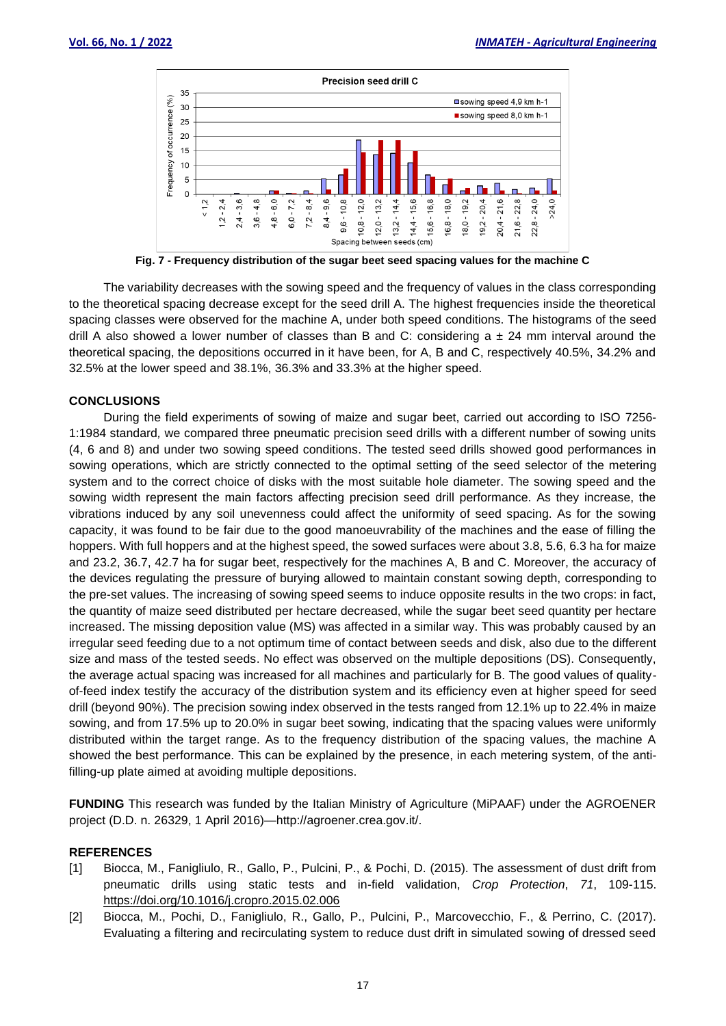

**Fig. 7 - Frequency distribution of the sugar beet seed spacing values for the machine C**

The variability decreases with the sowing speed and the frequency of values in the class corresponding to the theoretical spacing decrease except for the seed drill A. The highest frequencies inside the theoretical spacing classes were observed for the machine A, under both speed conditions. The histograms of the seed drill A also showed a lower number of classes than B and C: considering  $a \pm 24$  mm interval around the theoretical spacing, the depositions occurred in it have been, for A, B and C, respectively 40.5%, 34.2% and 32.5% at the lower speed and 38.1%, 36.3% and 33.3% at the higher speed.

## **CONCLUSIONS**

During the field experiments of sowing of maize and sugar beet, carried out according to ISO 7256- 1:1984 standard*,* we compared three pneumatic precision seed drills with a different number of sowing units (4, 6 and 8) and under two sowing speed conditions. The tested seed drills showed good performances in sowing operations, which are strictly connected to the optimal setting of the seed selector of the metering system and to the correct choice of disks with the most suitable hole diameter. The sowing speed and the sowing width represent the main factors affecting precision seed drill performance. As they increase, the vibrations induced by any soil unevenness could affect the uniformity of seed spacing. As for the sowing capacity, it was found to be fair due to the good manoeuvrability of the machines and the ease of filling the hoppers. With full hoppers and at the highest speed, the sowed surfaces were about 3.8, 5.6, 6.3 ha for maize and 23.2, 36.7, 42.7 ha for sugar beet, respectively for the machines A, B and C. Moreover, the accuracy of the devices regulating the pressure of burying allowed to maintain constant sowing depth, corresponding to the pre-set values. The increasing of sowing speed seems to induce opposite results in the two crops: in fact, the quantity of maize seed distributed per hectare decreased, while the sugar beet seed quantity per hectare increased. The missing deposition value (MS) was affected in a similar way. This was probably caused by an irregular seed feeding due to a not optimum time of contact between seeds and disk, also due to the different size and mass of the tested seeds. No effect was observed on the multiple depositions (DS). Consequently, the average actual spacing was increased for all machines and particularly for B. The good values of qualityof-feed index testify the accuracy of the distribution system and its efficiency even at higher speed for seed drill (beyond 90%). The precision sowing index observed in the tests ranged from 12.1% up to 22.4% in maize sowing, and from 17.5% up to 20.0% in sugar beet sowing, indicating that the spacing values were uniformly distributed within the target range. As to the frequency distribution of the spacing values, the machine A showed the best performance. This can be explained by the presence, in each metering system, of the antifilling-up plate aimed at avoiding multiple depositions.

**FUNDING** This research was funded by the Italian Ministry of Agriculture (MiPAAF) under the AGROENER project (D.D. n. 26329, 1 April 2016)—http://agroener.crea.gov.it/.

## **REFERENCES**

- [1] Biocca, M., Fanigliulo, R., Gallo, P., Pulcini, P., & Pochi, D. (2015). The assessment of dust drift from pneumatic drills using static tests and in-field validation, *Crop Protection*, *71*, 109-115. https://doi.org/10.1016/j.cropro.2015.02.006
- [2] Biocca, M., Pochi, D., Fanigliulo, R., Gallo, P., Pulcini, P., Marcovecchio, F., & Perrino, C. (2017). Evaluating a filtering and recirculating system to reduce dust drift in simulated sowing of dressed seed